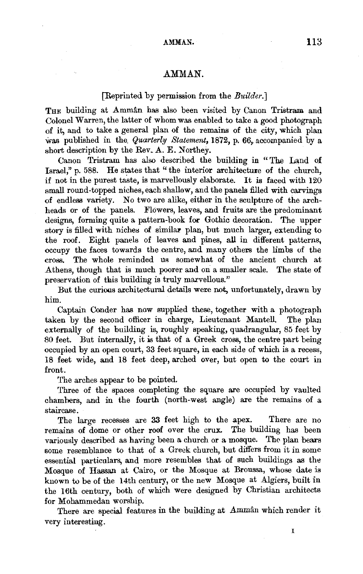# AMMAN.

### [Reprinted by permission from the *Builder.]*

THE building at Amman has also been visited by Canon Tristram and Colonel Warren, the latter of whom was enabled to take a good photograph of it, and to take a general plan of the remains of the city, which plan was published in the *Quarterly Statement*, 1872, p. 66, accompanied by a short description by the Rev. A. E. Northey.

Canon Tristram has also described the building in " The Land of Israel," p. 588. He states that "the interior architecture of the church, if not in the purest taste, is marvellously elaborate. It is faced with  $120$ small round-topped niches, each shallow, and the panels filled with carvings of endless variety. No two are alike, either in the sculpture of the archheads or of the panels. Flowers, leaves, and fruits are the predominant designs, forming quite a pattern-book for Gothic decoration. The upper story is filled with niches of similar plan, but much larger, extending to the roof. Eight panels of leaves and pines, all in different patterns, occupy the faces towards the centre, and many others the limbs of the cross. The whole reminded us somewhat of the ancient church at .Athens, though that is much poorer and on a smaller scale. The state of preservation of this building is truly marvellous."

But the curious architectural details were not, unfortunately, drawn by him.

Captain Conder has now supplied these, together with a photograph taken by the second officer in charge, Lieutenant Mantell. The plan externally of the building is, roughly speaking, quadrangular, 85 feet by 80 feet. But internally, it ia that of a Greek cross, the centre part being occupied by an open court, 33 feet square, in each side of which is a recess, 18 feet wide, and 18 feet deep, arched over, but open to the court in front.

The arches appear to be pointed.

Three of the spaces completing the square are occupied by vaulted chambers, and in the fourth (north-west angle) are the remains of a staircase.

The large recesses are 33 feet high to the apex. There are no remains of dome or other roof over the crux. The building has been variously described as having been a church or a mosque. The plan bears some resemblance to that of a Greek church, but differs from it in some essential particulars, and more resembles that of such buildings as the Mosque of Hassan at Cairo, or the Mosque at Broussa, whose date is known to be of the 14th century, or the new Mosque at Algiers, built in the 16th century, both of which were designed by Christian architects for Mohammedan worship.

There are special features in the building at Amman which render it very interesting.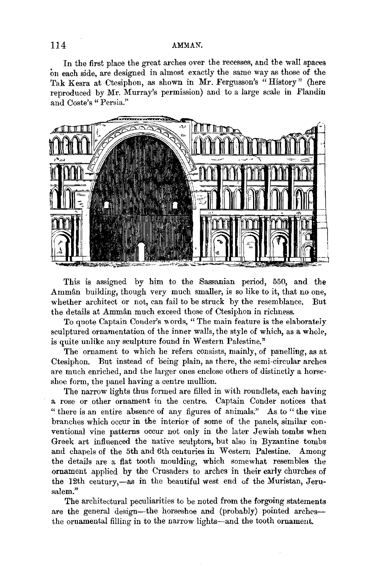# 114 AMMAN.

In the first place the great arches over the recesses, and the wall spaces on each side, are designed in almost exactly the same way as those of the Tak Kesra at Ctesiphon, as shown in Mr. Fergusson's "History" (here reproduced by Mr. Murray's permission) and to a large scale in Flandin and Coste's "Persia."



This is assigned by him to the Sassanian period, 550, and the Amman building, though very much smaller, is so like to it, that no one, whether architect or not, can fail to be struck by the resemblance. But the details at Amman much exceed those of Ctesiphon in richness.

To quote Captain Conder's words, " The main feature is the elaborateiy sculptured ornamentation of the inner walls, the style of which, as a whole. is quite unlike any sculpture found in Western Palestine."

The ornament to which he refers consists, mainly, of panelling, as at Ctesiphon. But instead of being plain, as there, the semi-circular arches are much enriched, and the larger ones enclose others of distinctly a horseshoe form, the panel having a centre mullion.

The narrow lights thus formed are filled in with roundlets, each having a rose or other ornament in the centre. Captain Conder notices that " there is an entire absence of any figures of animals." As to "the vine branches which occur in the interior of some of the panels, similar conventional vine patterns occur not only in the later Jewish tombs when Greek art influenced the native sculptors, but also in Byzantine tombs and chapels of the 5th and 6th centuries in Western Palestine. Among the details are a flat tooth moulding, which somewhat resembles the ornament applied by the Crusaders to arches in their early churches of the 12th century,-as in the beautiful west end of the Muristan, Jerusalem."

The architectural peculiarities to be noted from the forgoing statements are the general design-the horseshoe and (probably) pointed archesthe ornamental filling in to the narrow lights-and the tooth ornament.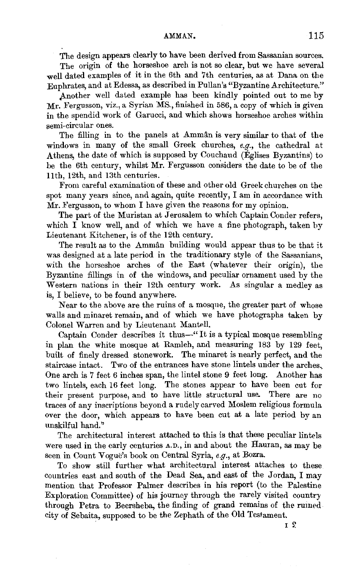## AMMAN. 115

The design appears clearly to have been derived from Sassanian sources.

The origin of the horseshoe arch is not so clear, but we have several well dated examples of it in the 6th and 7th centuries, as at Dana on the Euphrates, and at Edessa, as described in Pullan's "Byzantine Architecture."

Another well dated example has been kindly pointed out to me by Mr. Fergusson, viz., a Syrian MS., finished in 586, a copy of which is given in the spendid work of Garucci, and which shows horseshoe arches within semi-circular ones.

The filling in to the panels at Ammân is very similar to that of the windows in many of the small Greek churches, *e.g.,* the cathedral at Athens, the date of which is supposed by Couchaud (Eglises Byzantins) to be the 6th century, whilst Mr. Fergusson considers the date to be of the 11th, 12th, and 13th centuries.

From careful examination of these and other old Greek churches on the spot many years since, and again, quite recently, I am in accordance with Mr. Fergusson, to whom I have given the reasons for my opinion.

The part of the Muristan at Jerusalem to which Captain Conder refers, which I know well, and of which we have a fine photograph, taken by Lieutenant Kitchener, is of the 12th century.

The result as to the Amman building would appear thus to be that it was designed at a late period in the traditionary style of the Sassanians, with the horseshoe arches of the East (whatever their origin), the Byzantine fillings in of the windows, and peculiar ornament used by the Western nations in their 12th century work. As singular a medley as is, I believe, to be found anywhere.

Near to the above are the ruins of a mosque, the greater part of whose walls and minaret remain, and of which we have photographs taken by Colonel Warren and by Lieutenant Mantell.

Captain Conder describes it thus-"It is a typical mosque resembling in plan the white mosque at Ramleh, and measuring 183 by 129 feet, built of finely dressed stonework. The minaret is nearly perfect, and the staircase intact. Two of the entrances have stone lintels under the arches, One arch is 7 feet 6 inches span, the lintel stone 9 feet long. Another has two lintels, each 16 feet long. The stones appear to have been cut for their present purpose, and to have little structural use. There are no traces of any inscriptions beyond a rudely carved Moslem religious formula over the door, which appears to have been cut at a late period by an unskilful hand.''

The architectural interest attached to this is that these peculiar lintels were used in the early centuries A.D., in and about the Hauran, as may be seen in Count Vogue's book on Central Syria, *e.g.,* at Bozra.

To show still further what architectural interest attaches to these countries east and south of the Dead Sea, and east of the Jordan, I may mention that Professor Palmer describes in his report (to the Palestine Exploration Committee) of his journey through the rarely visited country through Petra to Beersheba, the finding of grand remains of the rumed city of Sebaita, supposed to be the Zephath of the Old Testament.